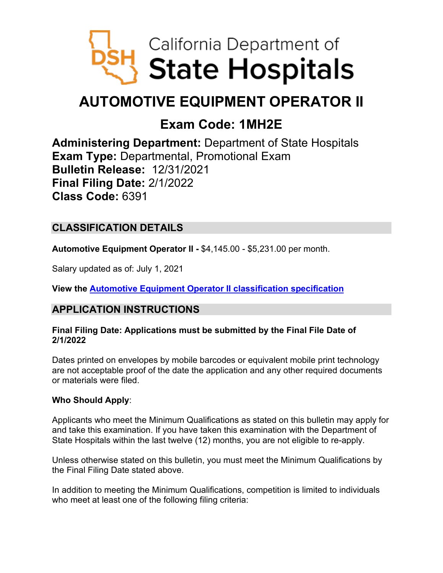

# **AUTOMOTIVE EQUIPMENT OPERATOR II**

## **Exam Code: 1MH2E**

**Administering Department:** Department of State Hospitals **Exam Type:** Departmental, Promotional Exam **Bulletin Release:** 12/31/2021 **Final Filing Date:** 2/1/2022 **Class Code:** 6391

## **CLASSIFICATION DETAILS**

**Automotive Equipment Operator II -** \$4,145.00 - \$5,231.00 per month.

Salary updated as of: July 1, 2021

**View the [Automotive Equipment Operator II](https://www.calhr.ca.gov/state-hr-professionals/Pages/6391.aspx) classification specification**

## **APPLICATION INSTRUCTIONS**

#### **Final Filing Date: Applications must be submitted by the Final File Date of 2/1/2022**

Dates printed on envelopes by mobile barcodes or equivalent mobile print technology are not acceptable proof of the date the application and any other required documents or materials were filed.

#### **Who Should Apply**:

Applicants who meet the Minimum Qualifications as stated on this bulletin may apply for and take this examination. If you have taken this examination with the Department of State Hospitals within the last twelve (12) months, you are not eligible to re-apply.

Unless otherwise stated on this bulletin, you must meet the Minimum Qualifications by the Final Filing Date stated above.

In addition to meeting the Minimum Qualifications, competition is limited to individuals who meet at least one of the following filing criteria: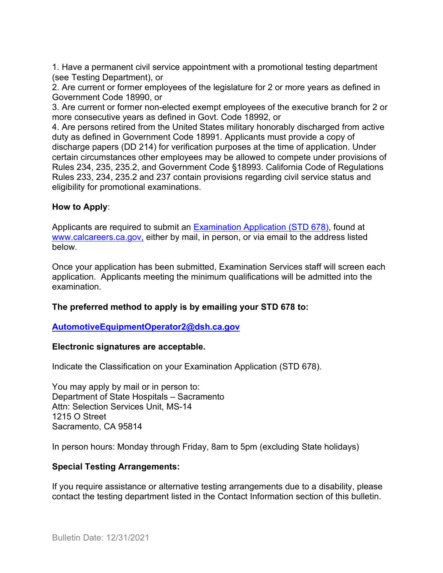1. Have a permanent civil service appointment with a promotional testing department (see Testing Department), or

2. Are current or former employees of the legislature for 2 or more years as defined in Government Code 18990, or

3. Are current or former non-elected exempt employees of the executive branch for 2 or more consecutive years as defined in Govt. Code 18992, or

4. Are persons retired from the United States military honorably discharged from active duty as defined in Government Code 18991. Applicants must provide a copy of discharge papers (DD 214) for verification purposes at the time of application. Under certain circumstances other employees may be allowed to compete under provisions of Rules 234, 235, 235.2, and Government Code §18993. California Code of Regulations Rules 233, 234, 235.2 and 237 contain provisions regarding civil service status and eligibility for promotional examinations.

#### **How to Apply**:

Applicants are required to submit an [Examination Application \(STD 678\),](https://jobs.ca.gov/pdf/std678.pdf) found at [www.calcareers.ca.gov,](http://www.calcareers.ca.gov/) either by mail, in person, or via email to the address listed below.

Once your application has been submitted, Examination Services staff will screen each application. Applicants meeting the minimum qualifications will be admitted into the examination.

#### **The preferred method to apply is by emailing your STD 678 to:**

#### **[AutomotiveEquipmentOperator2@dsh.ca.gov](mailto:AutomotiveEquipmentOperator2@dsh.ca.gov)**

#### **Electronic signatures are acceptable.**

Indicate the Classification on your Examination Application (STD 678).

You may apply by mail or in person to: Department of State Hospitals – Sacramento Attn: Selection Services Unit, MS-14 1215 O Street Sacramento, CA 95814

In person hours: Monday through Friday, 8am to 5pm (excluding State holidays)

#### **Special Testing Arrangements:**

If you require assistance or alternative testing arrangements due to a disability, please contact the testing department listed in the Contact Information section of this bulletin.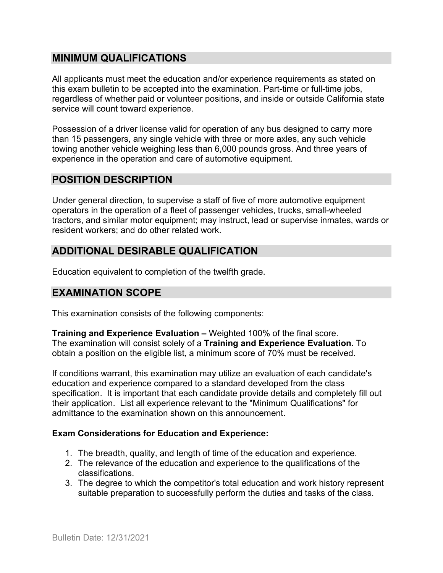## **MINIMUM QUALIFICATIONS**

All applicants must meet the education and/or experience requirements as stated on this exam bulletin to be accepted into the examination. Part-time or full-time jobs, regardless of whether paid or volunteer positions, and inside or outside California state service will count toward experience.

Possession of a driver license valid for operation of any bus designed to carry more than 15 passengers, any single vehicle with three or more axles, any such vehicle towing another vehicle weighing less than 6,000 pounds gross. And three years of experience in the operation and care of automotive equipment.

## **POSITION DESCRIPTION**

Under general direction, to supervise a staff of five of more automotive equipment operators in the operation of a fleet of passenger vehicles, trucks, small-wheeled tractors, and similar motor equipment; may instruct, lead or supervise inmates, wards or resident workers; and do other related work.

## **ADDITIONAL DESIRABLE QUALIFICATION**

Education equivalent to completion of the twelfth grade.

## **EXAMINATION SCOPE**

This examination consists of the following components:

**Training and Experience Evaluation –** Weighted 100% of the final score. The examination will consist solely of a **Training and Experience Evaluation.** To obtain a position on the eligible list, a minimum score of 70% must be received.

If conditions warrant, this examination may utilize an evaluation of each candidate's education and experience compared to a standard developed from the class specification. It is important that each candidate provide details and completely fill out their application. List all experience relevant to the "Minimum Qualifications" for admittance to the examination shown on this announcement.

#### **Exam Considerations for Education and Experience:**

- 1. The breadth, quality, and length of time of the education and experience.
- 2. The relevance of the education and experience to the qualifications of the classifications.
- 3. The degree to which the competitor's total education and work history represent suitable preparation to successfully perform the duties and tasks of the class.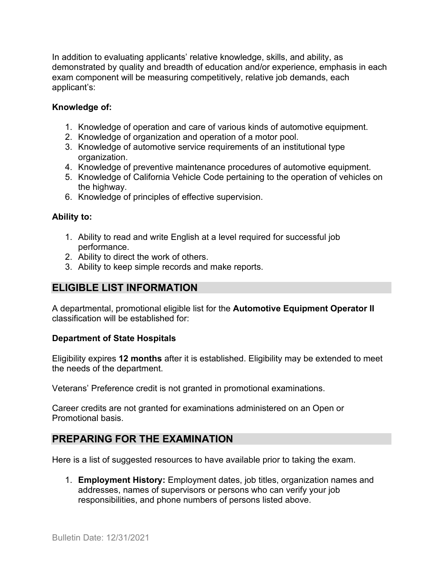In addition to evaluating applicants' relative knowledge, skills, and ability, as demonstrated by quality and breadth of education and/or experience, emphasis in each exam component will be measuring competitively, relative job demands, each applicant's:

#### **Knowledge of:**

- 1. Knowledge of operation and care of various kinds of automotive equipment.
- 2. Knowledge of organization and operation of a motor pool.
- 3. Knowledge of automotive service requirements of an institutional type organization.
- 4. Knowledge of preventive maintenance procedures of automotive equipment.
- 5. Knowledge of California Vehicle Code pertaining to the operation of vehicles on the highway.
- 6. Knowledge of principles of effective supervision.

#### **Ability to:**

- 1. Ability to read and write English at a level required for successful job performance.
- 2. Ability to direct the work of others.
- 3. Ability to keep simple records and make reports.

## **ELIGIBLE LIST INFORMATION**

A departmental, promotional eligible list for the **Automotive Equipment Operator II** classification will be established for:

#### **Department of State Hospitals**

Eligibility expires **12 months** after it is established. Eligibility may be extended to meet the needs of the department.

Veterans' Preference credit is not granted in promotional examinations.

Career credits are not granted for examinations administered on an Open or Promotional basis.

## **PREPARING FOR THE EXAMINATION**

Here is a list of suggested resources to have available prior to taking the exam.

1. **Employment History:** Employment dates, job titles, organization names and addresses, names of supervisors or persons who can verify your job responsibilities, and phone numbers of persons listed above.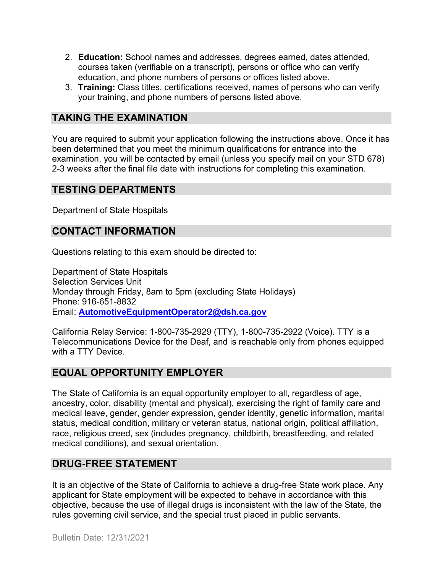- 2. **Education:** School names and addresses, degrees earned, dates attended, courses taken (verifiable on a transcript), persons or office who can verify education, and phone numbers of persons or offices listed above.
- 3. **Training:** Class titles, certifications received, names of persons who can verify your training, and phone numbers of persons listed above.

## **TAKING THE EXAMINATION**

You are required to submit your application following the instructions above. Once it has been determined that you meet the minimum qualifications for entrance into the examination, you will be contacted by email (unless you specify mail on your STD 678) 2-3 weeks after the final file date with instructions for completing this examination.

## **TESTING DEPARTMENTS**

Department of State Hospitals

## **CONTACT INFORMATION**

Questions relating to this exam should be directed to:

Department of State Hospitals Selection Services Unit Monday through Friday, 8am to 5pm (excluding State Holidays) Phone: 916-651-8832 Email: **[AutomotiveEquipmentOperator2@dsh.ca.gov](mailto:AutomotiveEquipmentOperator2@dsh.ca.gov)**

California Relay Service: 1-800-735-2929 (TTY), 1-800-735-2922 (Voice). TTY is a Telecommunications Device for the Deaf, and is reachable only from phones equipped with a TTY Device.

## **EQUAL OPPORTUNITY EMPLOYER**

The State of California is an equal opportunity employer to all, regardless of age, ancestry, color, disability (mental and physical), exercising the right of family care and medical leave, gender, gender expression, gender identity, genetic information, marital status, medical condition, military or veteran status, national origin, political affiliation, race, religious creed, sex (includes pregnancy, childbirth, breastfeeding, and related medical conditions), and sexual orientation.

## **DRUG-FREE STATEMENT**

It is an objective of the State of California to achieve a drug-free State work place. Any applicant for State employment will be expected to behave in accordance with this objective, because the use of illegal drugs is inconsistent with the law of the State, the rules governing civil service, and the special trust placed in public servants.